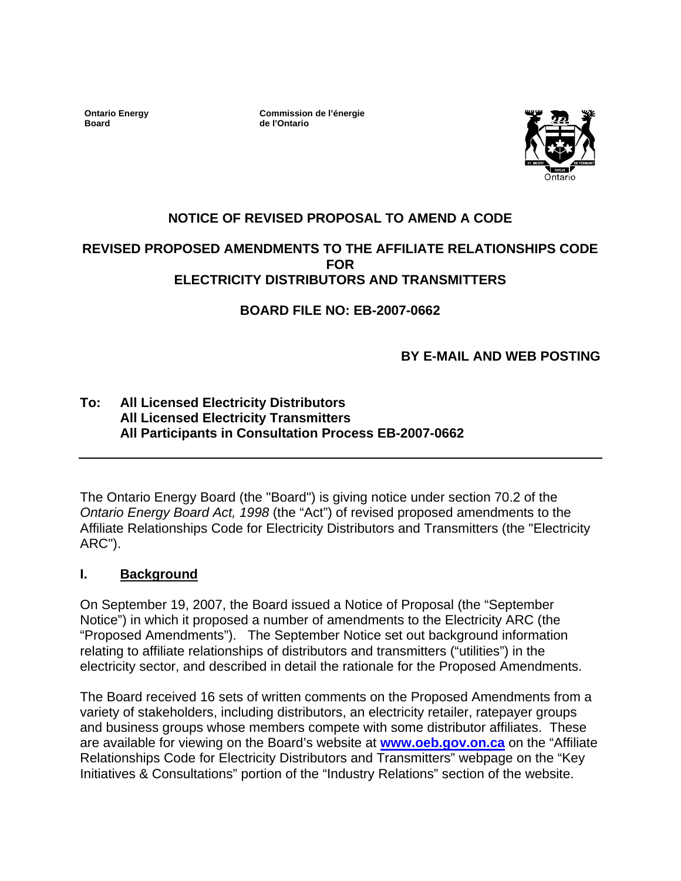**Ontario Energy Board** 

**Commission de l'énergie de l'Ontario**



## **NOTICE OF REVISED PROPOSAL TO AMEND A CODE**

### **REVISED PROPOSED AMENDMENTS TO THE AFFILIATE RELATIONSHIPS CODE FOR ELECTRICITY DISTRIBUTORS AND TRANSMITTERS**

**BOARD FILE NO: EB-2007-0662**

## **BY E-MAIL AND WEB POSTING**

## **To: All Licensed Electricity Distributors All Licensed Electricity Transmitters All Participants in Consultation Process EB-2007-0662**

The Ontario Energy Board (the "Board") is giving notice under section 70.2 of the *Ontario Energy Board Act, 1998* (the "Act") of revised proposed amendments to the Affiliate Relationships Code for Electricity Distributors and Transmitters (the "Electricity ARC").

#### **I. Background**

On September 19, 2007, the Board issued a Notice of Proposal (the "September Notice") in which it proposed a number of amendments to the Electricity ARC (the "Proposed Amendments"). The September Notice set out background information relating to affiliate relationships of distributors and transmitters ("utilities") in the electricity sector, and described in detail the rationale for the Proposed Amendments.

The Board received 16 sets of written comments on the Proposed Amendments from a variety of stakeholders, including distributors, an electricity retailer, ratepayer groups and business groups whose members compete with some distributor affiliates.These are available for viewing on the Board's website at **[www.oeb.gov.on.ca](http://www.oeb.gov.on.ca/)** on the "Affiliate Relationships Code for Electricity Distributors and Transmitters" webpage on the "Key Initiatives & Consultations" portion of the "Industry Relations" section of the website.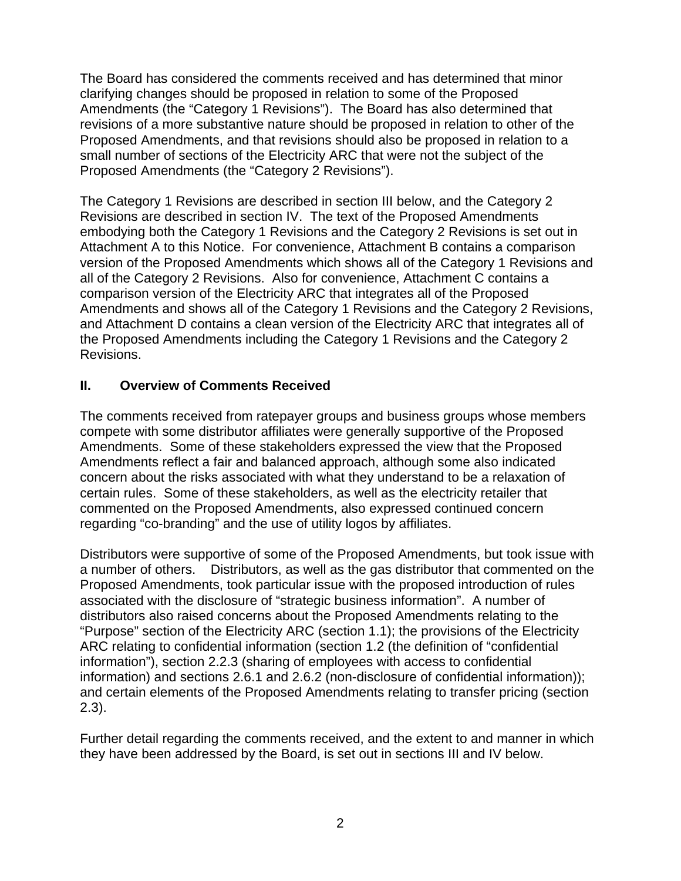The Board has considered the comments received and has determined that minor clarifying changes should be proposed in relation to some of the Proposed Amendments (the "Category 1 Revisions"). The Board has also determined that revisions of a more substantive nature should be proposed in relation to other of the Proposed Amendments, and that revisions should also be proposed in relation to a small number of sections of the Electricity ARC that were not the subject of the Proposed Amendments (the "Category 2 Revisions").

The Category 1 Revisions are described in section III below, and the Category 2 Revisions are described in section IV. The text of the Proposed Amendments embodying both the Category 1 Revisions and the Category 2 Revisions is set out in Attachment A to this Notice. For convenience, Attachment B contains a comparison version of the Proposed Amendments which shows all of the Category 1 Revisions and all of the Category 2 Revisions. Also for convenience, Attachment C contains a comparison version of the Electricity ARC that integrates all of the Proposed Amendments and shows all of the Category 1 Revisions and the Category 2 Revisions, and Attachment D contains a clean version of the Electricity ARC that integrates all of the Proposed Amendments including the Category 1 Revisions and the Category 2 Revisions.

## **II. Overview of Comments Received**

The comments received from ratepayer groups and business groups whose members compete with some distributor affiliates were generally supportive of the Proposed Amendments. Some of these stakeholders expressed the view that the Proposed Amendments reflect a fair and balanced approach, although some also indicated concern about the risks associated with what they understand to be a relaxation of certain rules. Some of these stakeholders, as well as the electricity retailer that commented on the Proposed Amendments, also expressed continued concern regarding "co-branding" and the use of utility logos by affiliates.

Distributors were supportive of some of the Proposed Amendments, but took issue with a number of others. Distributors, as well as the gas distributor that commented on the Proposed Amendments, took particular issue with the proposed introduction of rules associated with the disclosure of "strategic business information". A number of distributors also raised concerns about the Proposed Amendments relating to the "Purpose" section of the Electricity ARC (section 1.1); the provisions of the Electricity ARC relating to confidential information (section 1.2 (the definition of "confidential information"), section 2.2.3 (sharing of employees with access to confidential information) and sections 2.6.1 and 2.6.2 (non-disclosure of confidential information)); and certain elements of the Proposed Amendments relating to transfer pricing (section 2.3).

Further detail regarding the comments received, and the extent to and manner in which they have been addressed by the Board, is set out in sections III and IV below.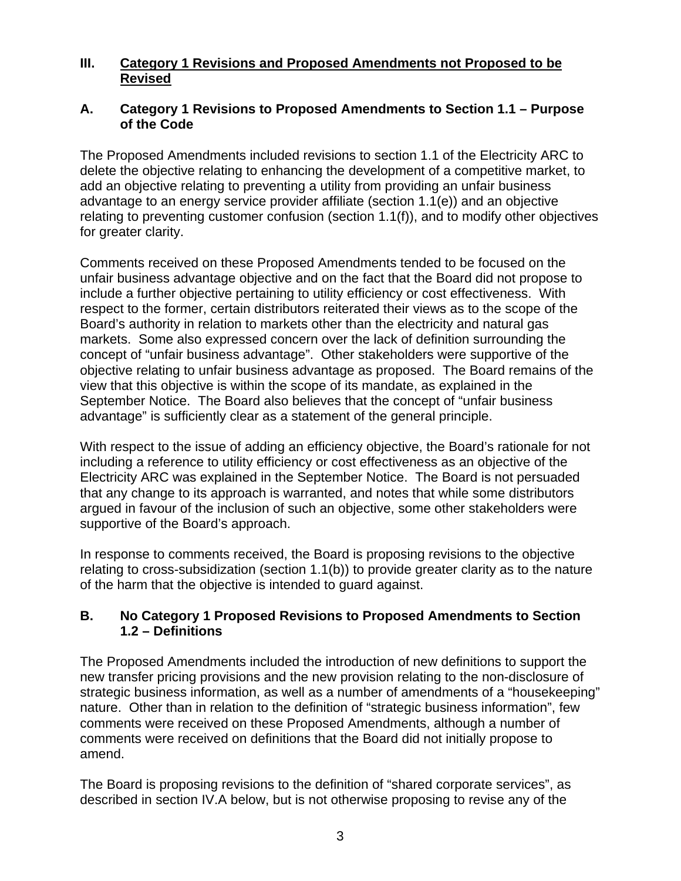## **III. Category 1 Revisions and Proposed Amendments not Proposed to be Revised**

### **A. Category 1 Revisions to Proposed Amendments to Section 1.1 – Purpose of the Code**

The Proposed Amendments included revisions to section 1.1 of the Electricity ARC to delete the objective relating to enhancing the development of a competitive market, to add an objective relating to preventing a utility from providing an unfair business advantage to an energy service provider affiliate (section 1.1(e)) and an objective relating to preventing customer confusion (section 1.1(f)), and to modify other objectives for greater clarity.

Comments received on these Proposed Amendments tended to be focused on the unfair business advantage objective and on the fact that the Board did not propose to include a further objective pertaining to utility efficiency or cost effectiveness. With respect to the former, certain distributors reiterated their views as to the scope of the Board's authority in relation to markets other than the electricity and natural gas markets. Some also expressed concern over the lack of definition surrounding the concept of "unfair business advantage". Other stakeholders were supportive of the objective relating to unfair business advantage as proposed. The Board remains of the view that this objective is within the scope of its mandate, as explained in the September Notice. The Board also believes that the concept of "unfair business advantage" is sufficiently clear as a statement of the general principle.

With respect to the issue of adding an efficiency objective, the Board's rationale for not including a reference to utility efficiency or cost effectiveness as an objective of the Electricity ARC was explained in the September Notice. The Board is not persuaded that any change to its approach is warranted, and notes that while some distributors argued in favour of the inclusion of such an objective, some other stakeholders were supportive of the Board's approach.

In response to comments received, the Board is proposing revisions to the objective relating to cross-subsidization (section 1.1(b)) to provide greater clarity as to the nature of the harm that the objective is intended to guard against.

### **B. No Category 1 Proposed Revisions to Proposed Amendments to Section 1.2 – Definitions**

The Proposed Amendments included the introduction of new definitions to support the new transfer pricing provisions and the new provision relating to the non-disclosure of strategic business information, as well as a number of amendments of a "housekeeping" nature. Other than in relation to the definition of "strategic business information", few comments were received on these Proposed Amendments, although a number of comments were received on definitions that the Board did not initially propose to amend.

The Board is proposing revisions to the definition of "shared corporate services", as described in section IV.A below, but is not otherwise proposing to revise any of the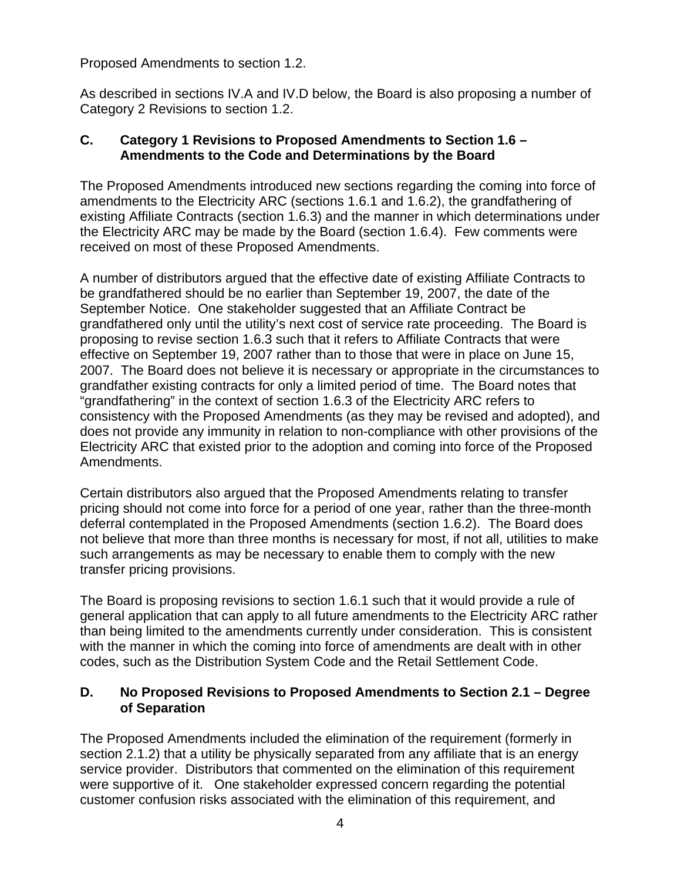Proposed Amendments to section 1.2.

As described in sections IV.A and IV.D below, the Board is also proposing a number of Category 2 Revisions to section 1.2.

### **C. Category 1 Revisions to Proposed Amendments to Section 1.6 – Amendments to the Code and Determinations by the Board**

The Proposed Amendments introduced new sections regarding the coming into force of amendments to the Electricity ARC (sections 1.6.1 and 1.6.2), the grandfathering of existing Affiliate Contracts (section 1.6.3) and the manner in which determinations under the Electricity ARC may be made by the Board (section 1.6.4). Few comments were received on most of these Proposed Amendments.

A number of distributors argued that the effective date of existing Affiliate Contracts to be grandfathered should be no earlier than September 19, 2007, the date of the September Notice. One stakeholder suggested that an Affiliate Contract be grandfathered only until the utility's next cost of service rate proceeding. The Board is proposing to revise section 1.6.3 such that it refers to Affiliate Contracts that were effective on September 19, 2007 rather than to those that were in place on June 15, 2007. The Board does not believe it is necessary or appropriate in the circumstances to grandfather existing contracts for only a limited period of time. The Board notes that "grandfathering" in the context of section 1.6.3 of the Electricity ARC refers to consistency with the Proposed Amendments (as they may be revised and adopted), and does not provide any immunity in relation to non-compliance with other provisions of the Electricity ARC that existed prior to the adoption and coming into force of the Proposed Amendments.

Certain distributors also argued that the Proposed Amendments relating to transfer pricing should not come into force for a period of one year, rather than the three-month deferral contemplated in the Proposed Amendments (section 1.6.2). The Board does not believe that more than three months is necessary for most, if not all, utilities to make such arrangements as may be necessary to enable them to comply with the new transfer pricing provisions.

The Board is proposing revisions to section 1.6.1 such that it would provide a rule of general application that can apply to all future amendments to the Electricity ARC rather than being limited to the amendments currently under consideration. This is consistent with the manner in which the coming into force of amendments are dealt with in other codes, such as the Distribution System Code and the Retail Settlement Code.

### **D. No Proposed Revisions to Proposed Amendments to Section 2.1 – Degree of Separation**

The Proposed Amendments included the elimination of the requirement (formerly in section 2.1.2) that a utility be physically separated from any affiliate that is an energy service provider. Distributors that commented on the elimination of this requirement were supportive of it. One stakeholder expressed concern regarding the potential customer confusion risks associated with the elimination of this requirement, and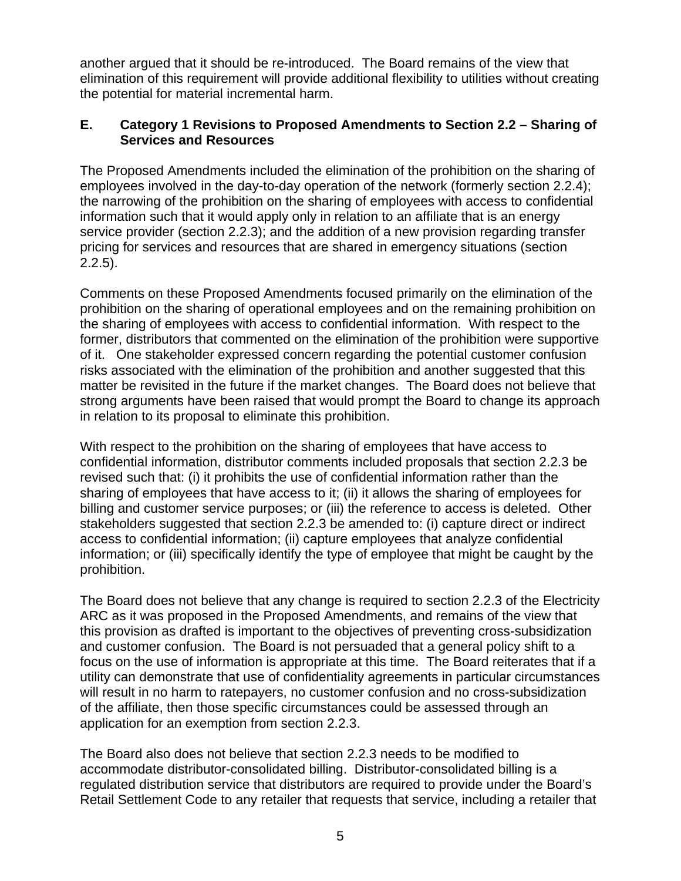another argued that it should be re-introduced. The Board remains of the view that elimination of this requirement will provide additional flexibility to utilities without creating the potential for material incremental harm.

## **E. Category 1 Revisions to Proposed Amendments to Section 2.2 – Sharing of Services and Resources**

The Proposed Amendments included the elimination of the prohibition on the sharing of employees involved in the day-to-day operation of the network (formerly section 2.2.4); the narrowing of the prohibition on the sharing of employees with access to confidential information such that it would apply only in relation to an affiliate that is an energy service provider (section 2.2.3); and the addition of a new provision regarding transfer pricing for services and resources that are shared in emergency situations (section 2.2.5).

Comments on these Proposed Amendments focused primarily on the elimination of the prohibition on the sharing of operational employees and on the remaining prohibition on the sharing of employees with access to confidential information. With respect to the former, distributors that commented on the elimination of the prohibition were supportive of it. One stakeholder expressed concern regarding the potential customer confusion risks associated with the elimination of the prohibition and another suggested that this matter be revisited in the future if the market changes. The Board does not believe that strong arguments have been raised that would prompt the Board to change its approach in relation to its proposal to eliminate this prohibition.

With respect to the prohibition on the sharing of employees that have access to confidential information, distributor comments included proposals that section 2.2.3 be revised such that: (i) it prohibits the use of confidential information rather than the sharing of employees that have access to it; (ii) it allows the sharing of employees for billing and customer service purposes; or (iii) the reference to access is deleted. Other stakeholders suggested that section 2.2.3 be amended to: (i) capture direct or indirect access to confidential information; (ii) capture employees that analyze confidential information; or (iii) specifically identify the type of employee that might be caught by the prohibition.

The Board does not believe that any change is required to section 2.2.3 of the Electricity ARC as it was proposed in the Proposed Amendments, and remains of the view that this provision as drafted is important to the objectives of preventing cross-subsidization and customer confusion. The Board is not persuaded that a general policy shift to a focus on the use of information is appropriate at this time. The Board reiterates that if a utility can demonstrate that use of confidentiality agreements in particular circumstances will result in no harm to ratepayers, no customer confusion and no cross-subsidization of the affiliate, then those specific circumstances could be assessed through an application for an exemption from section 2.2.3.

The Board also does not believe that section 2.2.3 needs to be modified to accommodate distributor-consolidated billing. Distributor-consolidated billing is a regulated distribution service that distributors are required to provide under the Board's Retail Settlement Code to any retailer that requests that service, including a retailer that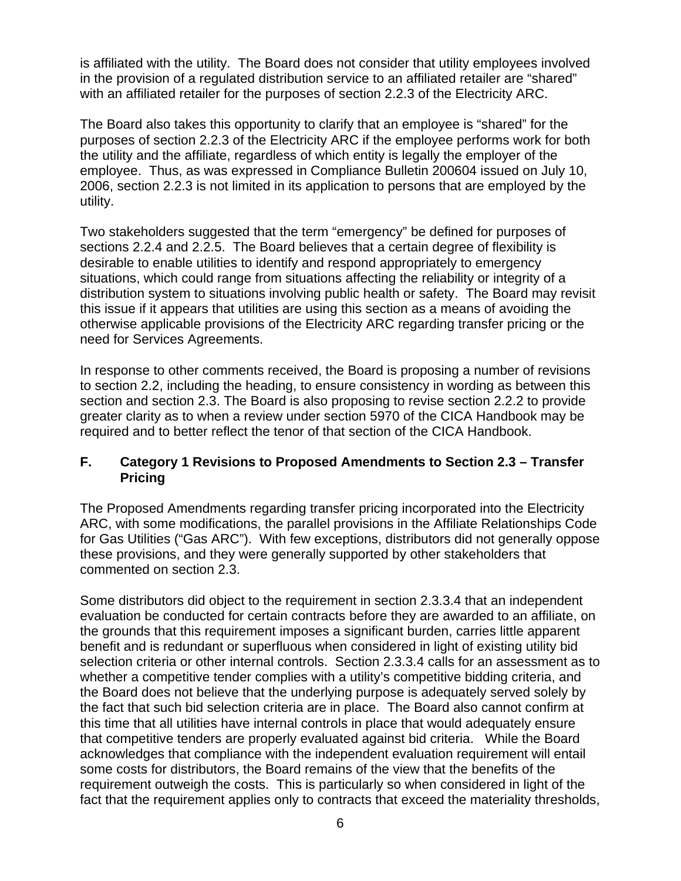is affiliated with the utility. The Board does not consider that utility employees involved in the provision of a regulated distribution service to an affiliated retailer are "shared" with an affiliated retailer for the purposes of section 2.2.3 of the Electricity ARC.

The Board also takes this opportunity to clarify that an employee is "shared" for the purposes of section 2.2.3 of the Electricity ARC if the employee performs work for both the utility and the affiliate, regardless of which entity is legally the employer of the employee. Thus, as was expressed in Compliance Bulletin 200604 issued on July 10, 2006, section 2.2.3 is not limited in its application to persons that are employed by the utility.

Two stakeholders suggested that the term "emergency" be defined for purposes of sections 2.2.4 and 2.2.5. The Board believes that a certain degree of flexibility is desirable to enable utilities to identify and respond appropriately to emergency situations, which could range from situations affecting the reliability or integrity of a distribution system to situations involving public health or safety. The Board may revisit this issue if it appears that utilities are using this section as a means of avoiding the otherwise applicable provisions of the Electricity ARC regarding transfer pricing or the need for Services Agreements.

In response to other comments received, the Board is proposing a number of revisions to section 2.2, including the heading, to ensure consistency in wording as between this section and section 2.3. The Board is also proposing to revise section 2.2.2 to provide greater clarity as to when a review under section 5970 of the CICA Handbook may be required and to better reflect the tenor of that section of the CICA Handbook.

### **F. Category 1 Revisions to Proposed Amendments to Section 2.3 – Transfer Pricing**

The Proposed Amendments regarding transfer pricing incorporated into the Electricity ARC, with some modifications, the parallel provisions in the Affiliate Relationships Code for Gas Utilities ("Gas ARC"). With few exceptions, distributors did not generally oppose these provisions, and they were generally supported by other stakeholders that commented on section 2.3.

Some distributors did object to the requirement in section 2.3.3.4 that an independent evaluation be conducted for certain contracts before they are awarded to an affiliate, on the grounds that this requirement imposes a significant burden, carries little apparent benefit and is redundant or superfluous when considered in light of existing utility bid selection criteria or other internal controls. Section 2.3.3.4 calls for an assessment as to whether a competitive tender complies with a utility's competitive bidding criteria, and the Board does not believe that the underlying purpose is adequately served solely by the fact that such bid selection criteria are in place. The Board also cannot confirm at this time that all utilities have internal controls in place that would adequately ensure that competitive tenders are properly evaluated against bid criteria. While the Board acknowledges that compliance with the independent evaluation requirement will entail some costs for distributors, the Board remains of the view that the benefits of the requirement outweigh the costs. This is particularly so when considered in light of the fact that the requirement applies only to contracts that exceed the materiality thresholds,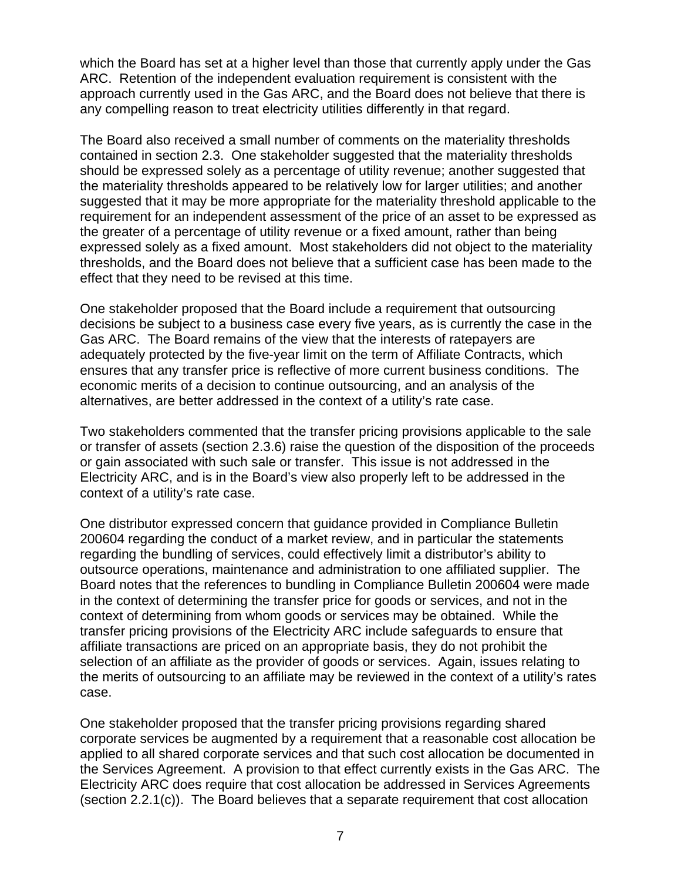which the Board has set at a higher level than those that currently apply under the Gas ARC. Retention of the independent evaluation requirement is consistent with the approach currently used in the Gas ARC, and the Board does not believe that there is any compelling reason to treat electricity utilities differently in that regard.

The Board also received a small number of comments on the materiality thresholds contained in section 2.3. One stakeholder suggested that the materiality thresholds should be expressed solely as a percentage of utility revenue; another suggested that the materiality thresholds appeared to be relatively low for larger utilities; and another suggested that it may be more appropriate for the materiality threshold applicable to the requirement for an independent assessment of the price of an asset to be expressed as the greater of a percentage of utility revenue or a fixed amount, rather than being expressed solely as a fixed amount. Most stakeholders did not object to the materiality thresholds, and the Board does not believe that a sufficient case has been made to the effect that they need to be revised at this time.

One stakeholder proposed that the Board include a requirement that outsourcing decisions be subject to a business case every five years, as is currently the case in the Gas ARC. The Board remains of the view that the interests of ratepayers are adequately protected by the five-year limit on the term of Affiliate Contracts, which ensures that any transfer price is reflective of more current business conditions. The economic merits of a decision to continue outsourcing, and an analysis of the alternatives, are better addressed in the context of a utility's rate case.

Two stakeholders commented that the transfer pricing provisions applicable to the sale or transfer of assets (section 2.3.6) raise the question of the disposition of the proceeds or gain associated with such sale or transfer. This issue is not addressed in the Electricity ARC, and is in the Board's view also properly left to be addressed in the context of a utility's rate case.

One distributor expressed concern that guidance provided in Compliance Bulletin 200604 regarding the conduct of a market review, and in particular the statements regarding the bundling of services, could effectively limit a distributor's ability to outsource operations, maintenance and administration to one affiliated supplier. The Board notes that the references to bundling in Compliance Bulletin 200604 were made in the context of determining the transfer price for goods or services, and not in the context of determining from whom goods or services may be obtained. While the transfer pricing provisions of the Electricity ARC include safeguards to ensure that affiliate transactions are priced on an appropriate basis, they do not prohibit the selection of an affiliate as the provider of goods or services. Again, issues relating to the merits of outsourcing to an affiliate may be reviewed in the context of a utility's rates case.

One stakeholder proposed that the transfer pricing provisions regarding shared corporate services be augmented by a requirement that a reasonable cost allocation be applied to all shared corporate services and that such cost allocation be documented in the Services Agreement. A provision to that effect currently exists in the Gas ARC. The Electricity ARC does require that cost allocation be addressed in Services Agreements (section 2.2.1(c)). The Board believes that a separate requirement that cost allocation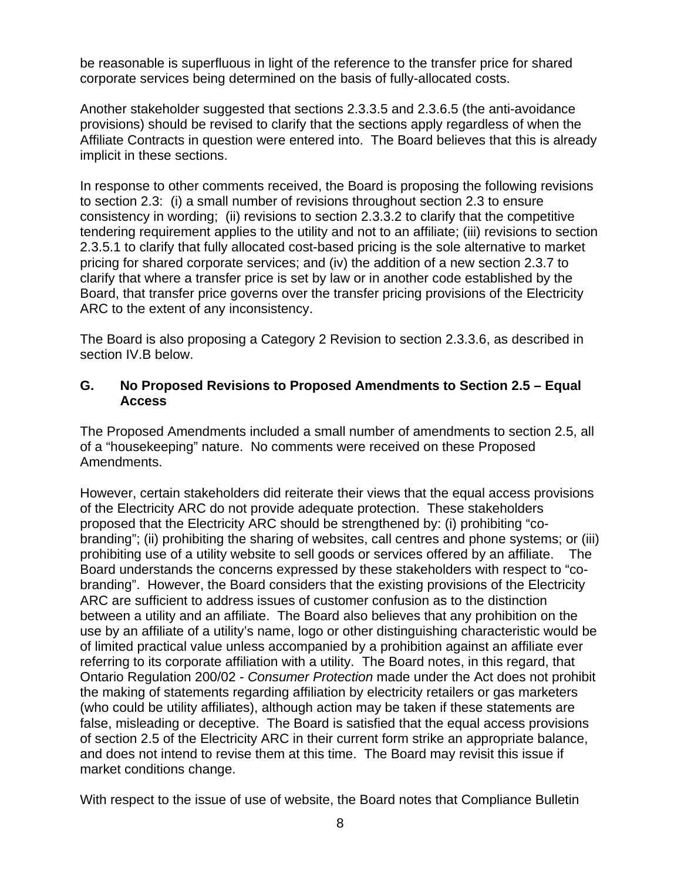be reasonable is superfluous in light of the reference to the transfer price for shared corporate services being determined on the basis of fully-allocated costs.

Another stakeholder suggested that sections 2.3.3.5 and 2.3.6.5 (the anti-avoidance provisions) should be revised to clarify that the sections apply regardless of when the Affiliate Contracts in question were entered into. The Board believes that this is already implicit in these sections.

In response to other comments received, the Board is proposing the following revisions to section 2.3: (i) a small number of revisions throughout section 2.3 to ensure consistency in wording; (ii) revisions to section 2.3.3.2 to clarify that the competitive tendering requirement applies to the utility and not to an affiliate; (iii) revisions to section 2.3.5.1 to clarify that fully allocated cost-based pricing is the sole alternative to market pricing for shared corporate services; and (iv) the addition of a new section 2.3.7 to clarify that where a transfer price is set by law or in another code established by the Board, that transfer price governs over the transfer pricing provisions of the Electricity ARC to the extent of any inconsistency.

The Board is also proposing a Category 2 Revision to section 2.3.3.6, as described in section IV.B below.

### **G. No Proposed Revisions to Proposed Amendments to Section 2.5 – Equal Access**

The Proposed Amendments included a small number of amendments to section 2.5, all of a "housekeeping" nature. No comments were received on these Proposed Amendments.

However, certain stakeholders did reiterate their views that the equal access provisions of the Electricity ARC do not provide adequate protection. These stakeholders proposed that the Electricity ARC should be strengthened by: (i) prohibiting "cobranding"; (ii) prohibiting the sharing of websites, call centres and phone systems; or (iii) prohibiting use of a utility website to sell goods or services offered by an affiliate. The Board understands the concerns expressed by these stakeholders with respect to "cobranding". However, the Board considers that the existing provisions of the Electricity ARC are sufficient to address issues of customer confusion as to the distinction between a utility and an affiliate. The Board also believes that any prohibition on the use by an affiliate of a utility's name, logo or other distinguishing characteristic would be of limited practical value unless accompanied by a prohibition against an affiliate ever referring to its corporate affiliation with a utility. The Board notes, in this regard, that Ontario Regulation 200/02 - *Consumer Protection* made under the Act does not prohibit the making of statements regarding affiliation by electricity retailers or gas marketers (who could be utility affiliates), although action may be taken if these statements are false, misleading or deceptive. The Board is satisfied that the equal access provisions of section 2.5 of the Electricity ARC in their current form strike an appropriate balance, and does not intend to revise them at this time. The Board may revisit this issue if market conditions change.

With respect to the issue of use of website, the Board notes that Compliance Bulletin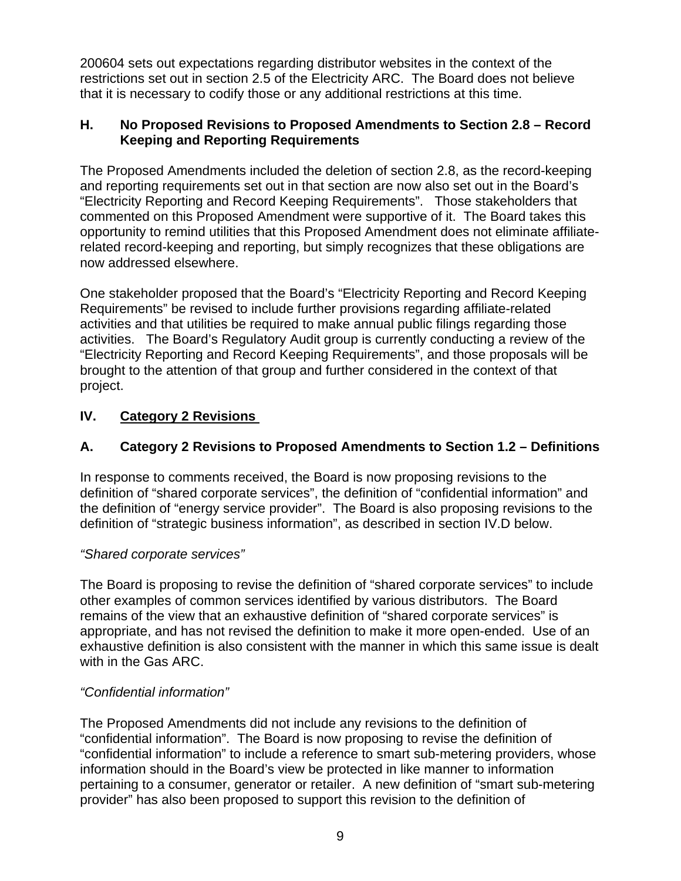200604 sets out expectations regarding distributor websites in the context of the restrictions set out in section 2.5 of the Electricity ARC. The Board does not believe that it is necessary to codify those or any additional restrictions at this time.

## **H. No Proposed Revisions to Proposed Amendments to Section 2.8 – Record Keeping and Reporting Requirements**

The Proposed Amendments included the deletion of section 2.8, as the record-keeping and reporting requirements set out in that section are now also set out in the Board's "Electricity Reporting and Record Keeping Requirements". Those stakeholders that commented on this Proposed Amendment were supportive of it. The Board takes this opportunity to remind utilities that this Proposed Amendment does not eliminate affiliaterelated record-keeping and reporting, but simply recognizes that these obligations are now addressed elsewhere.

One stakeholder proposed that the Board's "Electricity Reporting and Record Keeping Requirements" be revised to include further provisions regarding affiliate-related activities and that utilities be required to make annual public filings regarding those activities. The Board's Regulatory Audit group is currently conducting a review of the "Electricity Reporting and Record Keeping Requirements", and those proposals will be brought to the attention of that group and further considered in the context of that project.

# **IV. Category 2 Revisions**

# **A. Category 2 Revisions to Proposed Amendments to Section 1.2 – Definitions**

In response to comments received, the Board is now proposing revisions to the definition of "shared corporate services", the definition of "confidential information" and the definition of "energy service provider". The Board is also proposing revisions to the definition of "strategic business information", as described in section IV.D below.

## *"Shared corporate services"*

The Board is proposing to revise the definition of "shared corporate services" to include other examples of common services identified by various distributors. The Board remains of the view that an exhaustive definition of "shared corporate services" is appropriate, and has not revised the definition to make it more open-ended. Use of an exhaustive definition is also consistent with the manner in which this same issue is dealt with in the Gas ARC.

## *"Confidential information"*

The Proposed Amendments did not include any revisions to the definition of "confidential information". The Board is now proposing to revise the definition of "confidential information" to include a reference to smart sub-metering providers, whose information should in the Board's view be protected in like manner to information pertaining to a consumer, generator or retailer. A new definition of "smart sub-metering provider" has also been proposed to support this revision to the definition of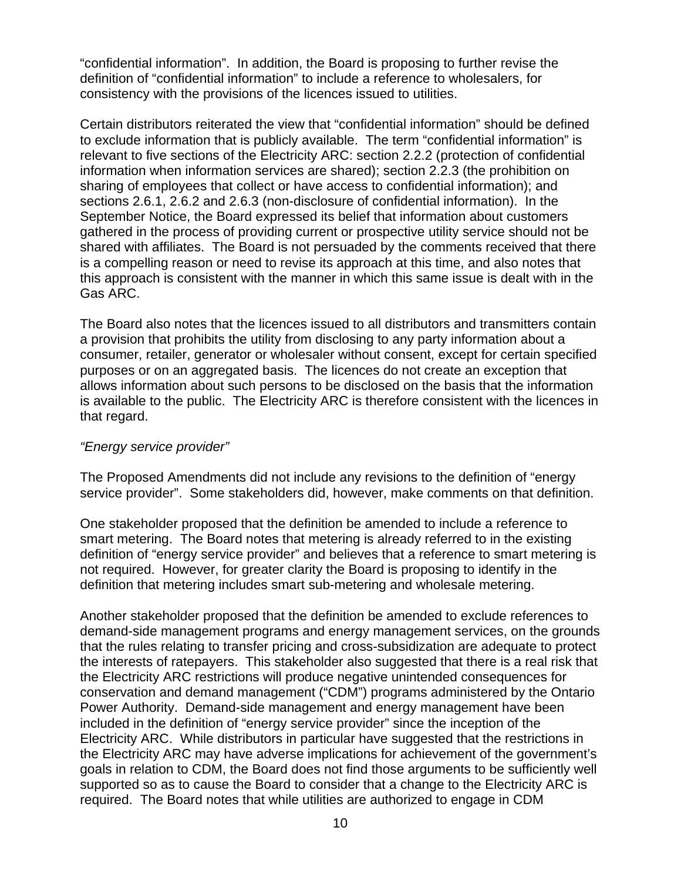"confidential information". In addition, the Board is proposing to further revise the definition of "confidential information" to include a reference to wholesalers, for consistency with the provisions of the licences issued to utilities.

Certain distributors reiterated the view that "confidential information" should be defined to exclude information that is publicly available. The term "confidential information" is relevant to five sections of the Electricity ARC: section 2.2.2 (protection of confidential information when information services are shared); section 2.2.3 (the prohibition on sharing of employees that collect or have access to confidential information); and sections 2.6.1, 2.6.2 and 2.6.3 (non-disclosure of confidential information). In the September Notice, the Board expressed its belief that information about customers gathered in the process of providing current or prospective utility service should not be shared with affiliates. The Board is not persuaded by the comments received that there is a compelling reason or need to revise its approach at this time, and also notes that this approach is consistent with the manner in which this same issue is dealt with in the Gas ARC.

The Board also notes that the licences issued to all distributors and transmitters contain a provision that prohibits the utility from disclosing to any party information about a consumer, retailer, generator or wholesaler without consent, except for certain specified purposes or on an aggregated basis. The licences do not create an exception that allows information about such persons to be disclosed on the basis that the information is available to the public. The Electricity ARC is therefore consistent with the licences in that regard.

#### *"Energy service provider"*

The Proposed Amendments did not include any revisions to the definition of "energy service provider". Some stakeholders did, however, make comments on that definition.

One stakeholder proposed that the definition be amended to include a reference to smart metering. The Board notes that metering is already referred to in the existing definition of "energy service provider" and believes that a reference to smart metering is not required. However, for greater clarity the Board is proposing to identify in the definition that metering includes smart sub-metering and wholesale metering.

Another stakeholder proposed that the definition be amended to exclude references to demand-side management programs and energy management services, on the grounds that the rules relating to transfer pricing and cross-subsidization are adequate to protect the interests of ratepayers. This stakeholder also suggested that there is a real risk that the Electricity ARC restrictions will produce negative unintended consequences for conservation and demand management ("CDM") programs administered by the Ontario Power Authority. Demand-side management and energy management have been included in the definition of "energy service provider" since the inception of the Electricity ARC. While distributors in particular have suggested that the restrictions in the Electricity ARC may have adverse implications for achievement of the government's goals in relation to CDM, the Board does not find those arguments to be sufficiently well supported so as to cause the Board to consider that a change to the Electricity ARC is required. The Board notes that while utilities are authorized to engage in CDM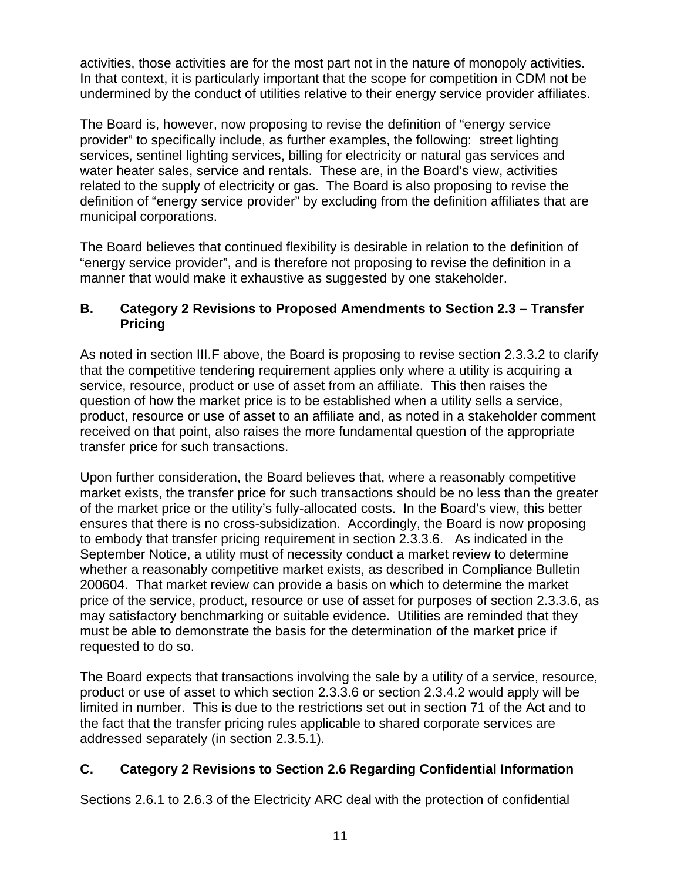activities, those activities are for the most part not in the nature of monopoly activities. In that context, it is particularly important that the scope for competition in CDM not be undermined by the conduct of utilities relative to their energy service provider affiliates.

The Board is, however, now proposing to revise the definition of "energy service provider" to specifically include, as further examples, the following: street lighting services, sentinel lighting services, billing for electricity or natural gas services and water heater sales, service and rentals. These are, in the Board's view, activities related to the supply of electricity or gas. The Board is also proposing to revise the definition of "energy service provider" by excluding from the definition affiliates that are municipal corporations.

The Board believes that continued flexibility is desirable in relation to the definition of "energy service provider", and is therefore not proposing to revise the definition in a manner that would make it exhaustive as suggested by one stakeholder.

## **B. Category 2 Revisions to Proposed Amendments to Section 2.3 – Transfer Pricing**

As noted in section III.F above, the Board is proposing to revise section 2.3.3.2 to clarify that the competitive tendering requirement applies only where a utility is acquiring a service, resource, product or use of asset from an affiliate. This then raises the question of how the market price is to be established when a utility sells a service, product, resource or use of asset to an affiliate and, as noted in a stakeholder comment received on that point, also raises the more fundamental question of the appropriate transfer price for such transactions.

Upon further consideration, the Board believes that, where a reasonably competitive market exists, the transfer price for such transactions should be no less than the greater of the market price or the utility's fully-allocated costs. In the Board's view, this better ensures that there is no cross-subsidization. Accordingly, the Board is now proposing to embody that transfer pricing requirement in section 2.3.3.6. As indicated in the September Notice, a utility must of necessity conduct a market review to determine whether a reasonably competitive market exists, as described in Compliance Bulletin 200604. That market review can provide a basis on which to determine the market price of the service, product, resource or use of asset for purposes of section 2.3.3.6, as may satisfactory benchmarking or suitable evidence. Utilities are reminded that they must be able to demonstrate the basis for the determination of the market price if requested to do so.

The Board expects that transactions involving the sale by a utility of a service, resource, product or use of asset to which section 2.3.3.6 or section 2.3.4.2 would apply will be limited in number. This is due to the restrictions set out in section 71 of the Act and to the fact that the transfer pricing rules applicable to shared corporate services are addressed separately (in section 2.3.5.1).

# **C. Category 2 Revisions to Section 2.6 Regarding Confidential Information**

Sections 2.6.1 to 2.6.3 of the Electricity ARC deal with the protection of confidential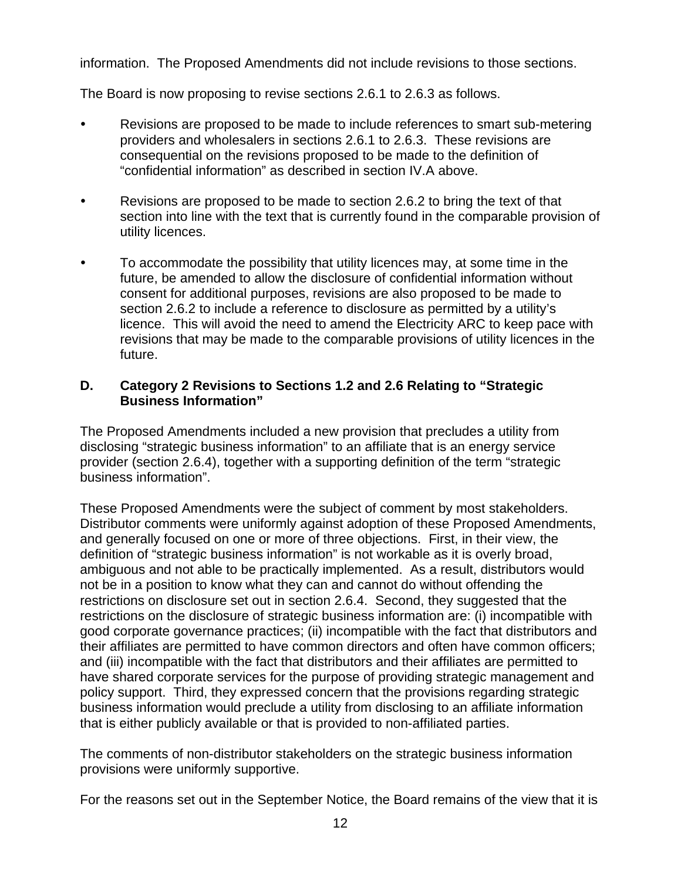information. The Proposed Amendments did not include revisions to those sections.

The Board is now proposing to revise sections 2.6.1 to 2.6.3 as follows.

- Revisions are proposed to be made to include references to smart sub-metering providers and wholesalers in sections 2.6.1 to 2.6.3. These revisions are consequential on the revisions proposed to be made to the definition of "confidential information" as described in section IV.A above.
- Revisions are proposed to be made to section 2.6.2 to bring the text of that section into line with the text that is currently found in the comparable provision of utility licences.
- To accommodate the possibility that utility licences may, at some time in the future, be amended to allow the disclosure of confidential information without consent for additional purposes, revisions are also proposed to be made to section 2.6.2 to include a reference to disclosure as permitted by a utility's licence. This will avoid the need to amend the Electricity ARC to keep pace with revisions that may be made to the comparable provisions of utility licences in the future.

#### **D. Category 2 Revisions to Sections 1.2 and 2.6 Relating to "Strategic Business Information"**

The Proposed Amendments included a new provision that precludes a utility from disclosing "strategic business information" to an affiliate that is an energy service provider (section 2.6.4), together with a supporting definition of the term "strategic business information".

These Proposed Amendments were the subject of comment by most stakeholders. Distributor comments were uniformly against adoption of these Proposed Amendments, and generally focused on one or more of three objections. First, in their view, the definition of "strategic business information" is not workable as it is overly broad, ambiguous and not able to be practically implemented. As a result, distributors would not be in a position to know what they can and cannot do without offending the restrictions on disclosure set out in section 2.6.4. Second, they suggested that the restrictions on the disclosure of strategic business information are: (i) incompatible with good corporate governance practices; (ii) incompatible with the fact that distributors and their affiliates are permitted to have common directors and often have common officers; and (iii) incompatible with the fact that distributors and their affiliates are permitted to have shared corporate services for the purpose of providing strategic management and policy support. Third, they expressed concern that the provisions regarding strategic business information would preclude a utility from disclosing to an affiliate information that is either publicly available or that is provided to non-affiliated parties.

The comments of non-distributor stakeholders on the strategic business information provisions were uniformly supportive.

For the reasons set out in the September Notice, the Board remains of the view that it is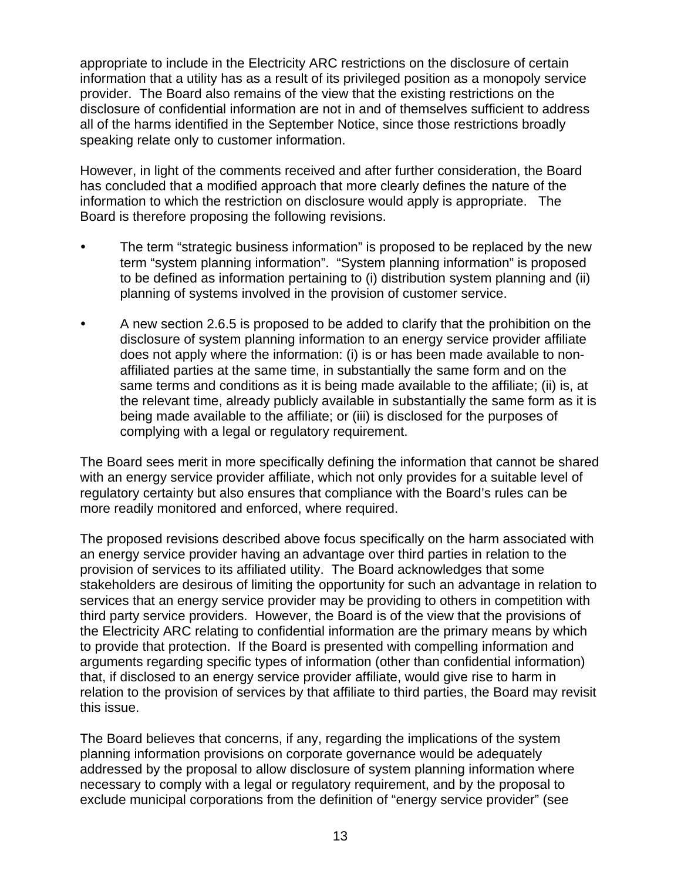appropriate to include in the Electricity ARC restrictions on the disclosure of certain information that a utility has as a result of its privileged position as a monopoly service provider. The Board also remains of the view that the existing restrictions on the disclosure of confidential information are not in and of themselves sufficient to address all of the harms identified in the September Notice, since those restrictions broadly speaking relate only to customer information.

However, in light of the comments received and after further consideration, the Board has concluded that a modified approach that more clearly defines the nature of the information to which the restriction on disclosure would apply is appropriate. The Board is therefore proposing the following revisions.

- The term "strategic business information" is proposed to be replaced by the new term "system planning information". "System planning information" is proposed to be defined as information pertaining to (i) distribution system planning and (ii) planning of systems involved in the provision of customer service.
- A new section 2.6.5 is proposed to be added to clarify that the prohibition on the disclosure of system planning information to an energy service provider affiliate does not apply where the information: (i) is or has been made available to nonaffiliated parties at the same time, in substantially the same form and on the same terms and conditions as it is being made available to the affiliate; (ii) is, at the relevant time, already publicly available in substantially the same form as it is being made available to the affiliate; or (iii) is disclosed for the purposes of complying with a legal or regulatory requirement.

The Board sees merit in more specifically defining the information that cannot be shared with an energy service provider affiliate, which not only provides for a suitable level of regulatory certainty but also ensures that compliance with the Board's rules can be more readily monitored and enforced, where required.

The proposed revisions described above focus specifically on the harm associated with an energy service provider having an advantage over third parties in relation to the provision of services to its affiliated utility. The Board acknowledges that some stakeholders are desirous of limiting the opportunity for such an advantage in relation to services that an energy service provider may be providing to others in competition with third party service providers. However, the Board is of the view that the provisions of the Electricity ARC relating to confidential information are the primary means by which to provide that protection. If the Board is presented with compelling information and arguments regarding specific types of information (other than confidential information) that, if disclosed to an energy service provider affiliate, would give rise to harm in relation to the provision of services by that affiliate to third parties, the Board may revisit this issue.

The Board believes that concerns, if any, regarding the implications of the system planning information provisions on corporate governance would be adequately addressed by the proposal to allow disclosure of system planning information where necessary to comply with a legal or regulatory requirement, and by the proposal to exclude municipal corporations from the definition of "energy service provider" (see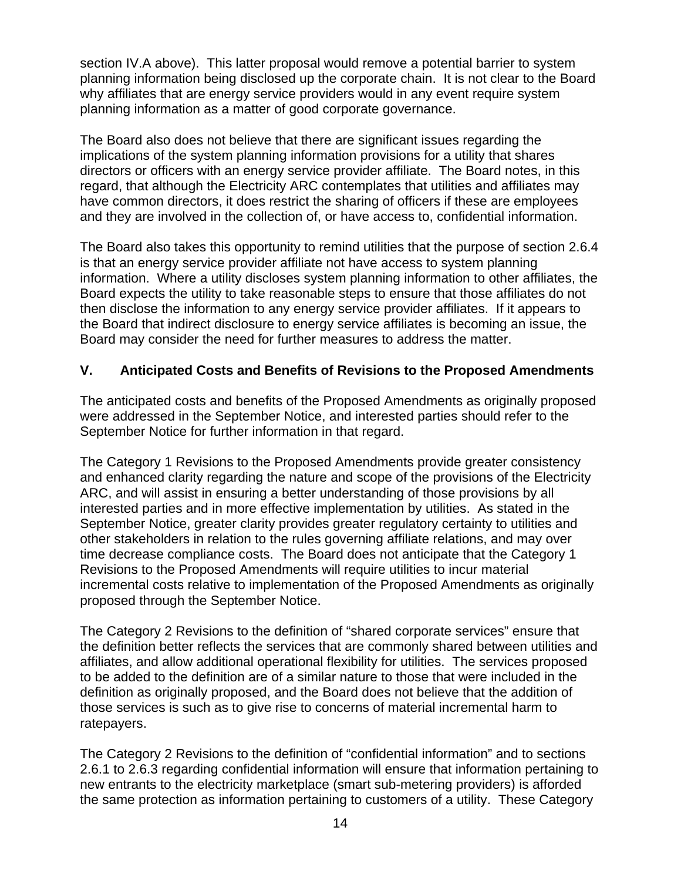section IV.A above). This latter proposal would remove a potential barrier to system planning information being disclosed up the corporate chain. It is not clear to the Board why affiliates that are energy service providers would in any event require system planning information as a matter of good corporate governance.

The Board also does not believe that there are significant issues regarding the implications of the system planning information provisions for a utility that shares directors or officers with an energy service provider affiliate. The Board notes, in this regard, that although the Electricity ARC contemplates that utilities and affiliates may have common directors, it does restrict the sharing of officers if these are employees and they are involved in the collection of, or have access to, confidential information.

The Board also takes this opportunity to remind utilities that the purpose of section 2.6.4 is that an energy service provider affiliate not have access to system planning information. Where a utility discloses system planning information to other affiliates, the Board expects the utility to take reasonable steps to ensure that those affiliates do not then disclose the information to any energy service provider affiliates. If it appears to the Board that indirect disclosure to energy service affiliates is becoming an issue, the Board may consider the need for further measures to address the matter.

## **V. Anticipated Costs and Benefits of Revisions to the Proposed Amendments**

The anticipated costs and benefits of the Proposed Amendments as originally proposed were addressed in the September Notice, and interested parties should refer to the September Notice for further information in that regard.

The Category 1 Revisions to the Proposed Amendments provide greater consistency and enhanced clarity regarding the nature and scope of the provisions of the Electricity ARC, and will assist in ensuring a better understanding of those provisions by all interested parties and in more effective implementation by utilities. As stated in the September Notice, greater clarity provides greater regulatory certainty to utilities and other stakeholders in relation to the rules governing affiliate relations, and may over time decrease compliance costs. The Board does not anticipate that the Category 1 Revisions to the Proposed Amendments will require utilities to incur material incremental costs relative to implementation of the Proposed Amendments as originally proposed through the September Notice.

The Category 2 Revisions to the definition of "shared corporate services" ensure that the definition better reflects the services that are commonly shared between utilities and affiliates, and allow additional operational flexibility for utilities. The services proposed to be added to the definition are of a similar nature to those that were included in the definition as originally proposed, and the Board does not believe that the addition of those services is such as to give rise to concerns of material incremental harm to ratepayers.

The Category 2 Revisions to the definition of "confidential information" and to sections 2.6.1 to 2.6.3 regarding confidential information will ensure that information pertaining to new entrants to the electricity marketplace (smart sub-metering providers) is afforded the same protection as information pertaining to customers of a utility. These Category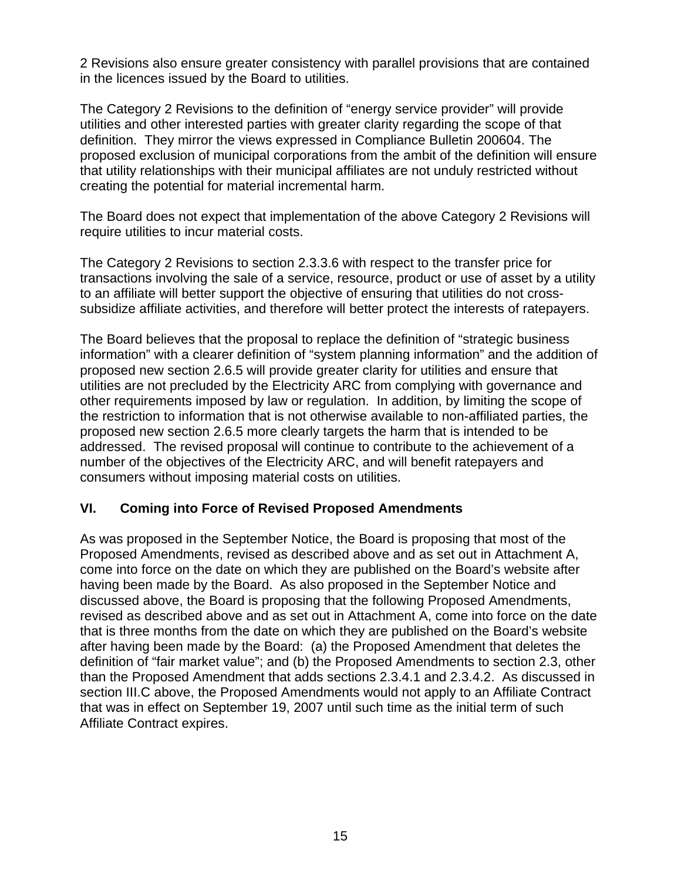2 Revisions also ensure greater consistency with parallel provisions that are contained in the licences issued by the Board to utilities.

The Category 2 Revisions to the definition of "energy service provider" will provide utilities and other interested parties with greater clarity regarding the scope of that definition. They mirror the views expressed in Compliance Bulletin 200604. The proposed exclusion of municipal corporations from the ambit of the definition will ensure that utility relationships with their municipal affiliates are not unduly restricted without creating the potential for material incremental harm.

The Board does not expect that implementation of the above Category 2 Revisions will require utilities to incur material costs.

The Category 2 Revisions to section 2.3.3.6 with respect to the transfer price for transactions involving the sale of a service, resource, product or use of asset by a utility to an affiliate will better support the objective of ensuring that utilities do not crosssubsidize affiliate activities, and therefore will better protect the interests of ratepayers.

The Board believes that the proposal to replace the definition of "strategic business information" with a clearer definition of "system planning information" and the addition of proposed new section 2.6.5 will provide greater clarity for utilities and ensure that utilities are not precluded by the Electricity ARC from complying with governance and other requirements imposed by law or regulation. In addition, by limiting the scope of the restriction to information that is not otherwise available to non-affiliated parties, the proposed new section 2.6.5 more clearly targets the harm that is intended to be addressed. The revised proposal will continue to contribute to the achievement of a number of the objectives of the Electricity ARC, and will benefit ratepayers and consumers without imposing material costs on utilities.

## **VI. Coming into Force of Revised Proposed Amendments**

As was proposed in the September Notice, the Board is proposing that most of the Proposed Amendments, revised as described above and as set out in Attachment A, come into force on the date on which they are published on the Board's website after having been made by the Board. As also proposed in the September Notice and discussed above, the Board is proposing that the following Proposed Amendments, revised as described above and as set out in Attachment A, come into force on the date that is three months from the date on which they are published on the Board's website after having been made by the Board: (a) the Proposed Amendment that deletes the definition of "fair market value"; and (b) the Proposed Amendments to section 2.3, other than the Proposed Amendment that adds sections 2.3.4.1 and 2.3.4.2. As discussed in section III.C above, the Proposed Amendments would not apply to an Affiliate Contract that was in effect on September 19, 2007 until such time as the initial term of such Affiliate Contract expires.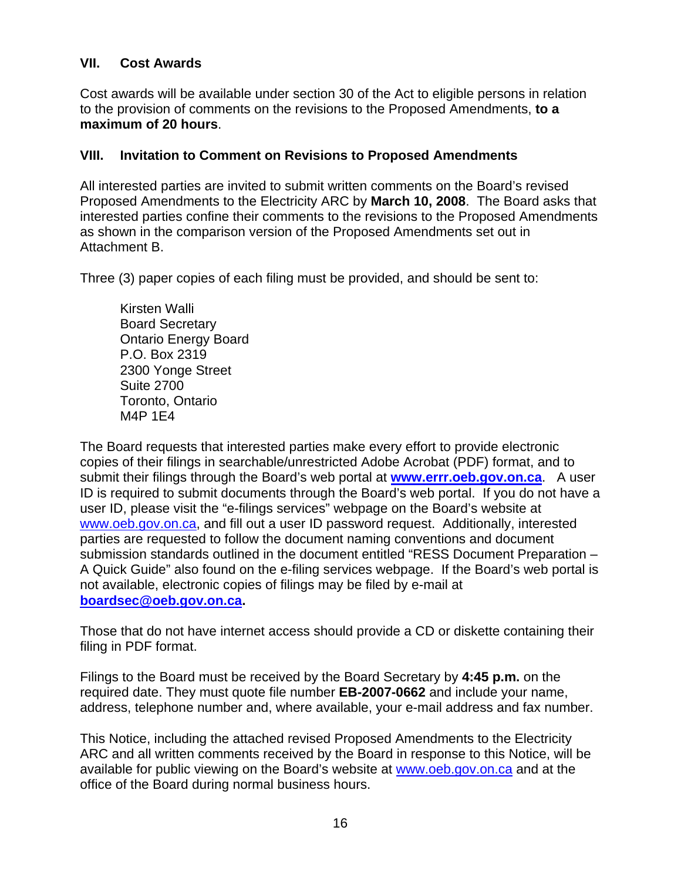## **VII. Cost Awards**

Cost awards will be available under section 30 of the Act to eligible persons in relation to the provision of comments on the revisions to the Proposed Amendments, **to a maximum of 20 hours**.

#### **VIII. Invitation to Comment on Revisions to Proposed Amendments**

All interested parties are invited to submit written comments on the Board's revised Proposed Amendments to the Electricity ARC by **March 10, 2008**. The Board asks that interested parties confine their comments to the revisions to the Proposed Amendments as shown in the comparison version of the Proposed Amendments set out in Attachment B.

Three (3) paper copies of each filing must be provided, and should be sent to:

Kirsten Walli Board Secretary Ontario Energy Board P.O. Box 2319 2300 Yonge Street Suite 2700 Toronto, Ontario M4P 1E4

The Board requests that interested parties make every effort to provide electronic copies of their filings in searchable/unrestricted Adobe Acrobat (PDF) format, and to submit their filings through the Board's web portal at **[www.errr.oeb.gov.on.ca](http://www.errr.oeb.gov.on.ca/)**. A user ID is required to submit documents through the Board's web portal. If you do not have a user ID, please visit the "e-filings services" webpage on the Board's website at [www.oeb.gov.on.ca,](http://www.oeb.gov.on.ca/) and fill out a user ID password request. Additionally, interested parties are requested to follow the document naming conventions and document submission standards outlined in the document entitled "RESS Document Preparation – A Quick Guide" also found on the e-filing services webpage. If the Board's web portal is not available, electronic copies of filings may be filed by e-mail at **[boardsec@oeb.gov.on.ca.](mailto:boardsec@oeb.gov.on.ca)**

Those that do not have internet access should provide a CD or diskette containing their filing in PDF format.

Filings to the Board must be received by the Board Secretary by **4:45 p.m.** on the required date. They must quote file number **EB-2007-0662** and include your name, address, telephone number and, where available, your e-mail address and fax number.

This Notice, including the attached revised Proposed Amendments to the Electricity ARC and all written comments received by the Board in response to this Notice, will be available for public viewing on the Board's website at [www.oeb.gov.on.ca](http://www.oeb.gov.on.ca/) and at the office of the Board during normal business hours.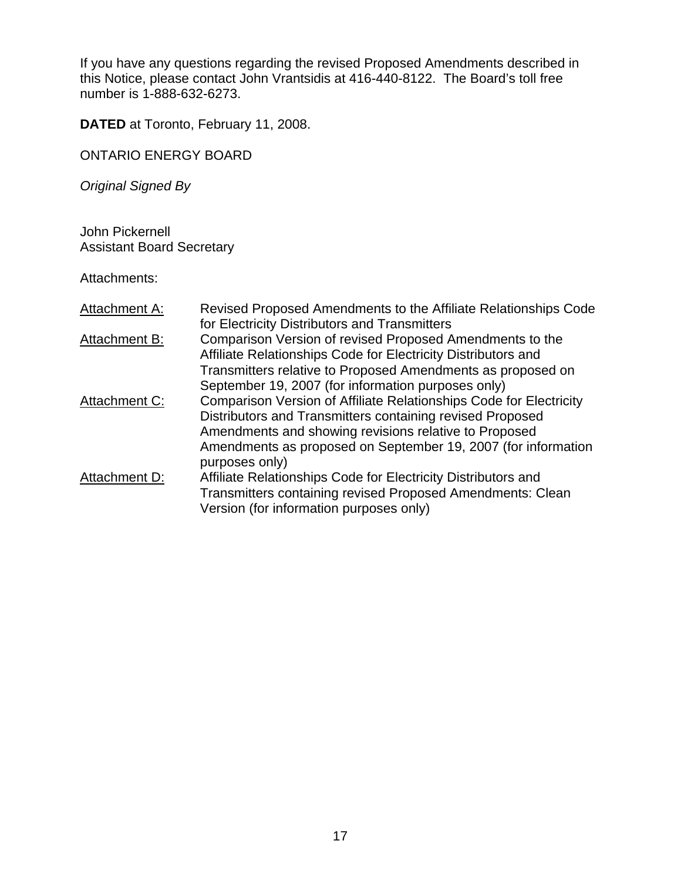If you have any questions regarding the revised Proposed Amendments described in this Notice, please contact John Vrantsidis at 416-440-8122. The Board's toll free number is 1-888-632-6273.

**DATED** at Toronto, February 11, 2008.

ONTARIO ENERGY BOARD

*Original Signed By* 

John Pickernell Assistant Board Secretary

Attachments:

| Attachment A: | Revised Proposed Amendments to the Affiliate Relationships Code<br>for Electricity Distributors and Transmitters                                                                                                                                                            |
|---------------|-----------------------------------------------------------------------------------------------------------------------------------------------------------------------------------------------------------------------------------------------------------------------------|
| Attachment B: | Comparison Version of revised Proposed Amendments to the<br>Affiliate Relationships Code for Electricity Distributors and<br>Transmitters relative to Proposed Amendments as proposed on<br>September 19, 2007 (for information purposes only)                              |
| Attachment C: | Comparison Version of Affiliate Relationships Code for Electricity<br>Distributors and Transmitters containing revised Proposed<br>Amendments and showing revisions relative to Proposed<br>Amendments as proposed on September 19, 2007 (for information<br>purposes only) |
| Attachment D: | Affiliate Relationships Code for Electricity Distributors and<br>Transmitters containing revised Proposed Amendments: Clean<br>Version (for information purposes only)                                                                                                      |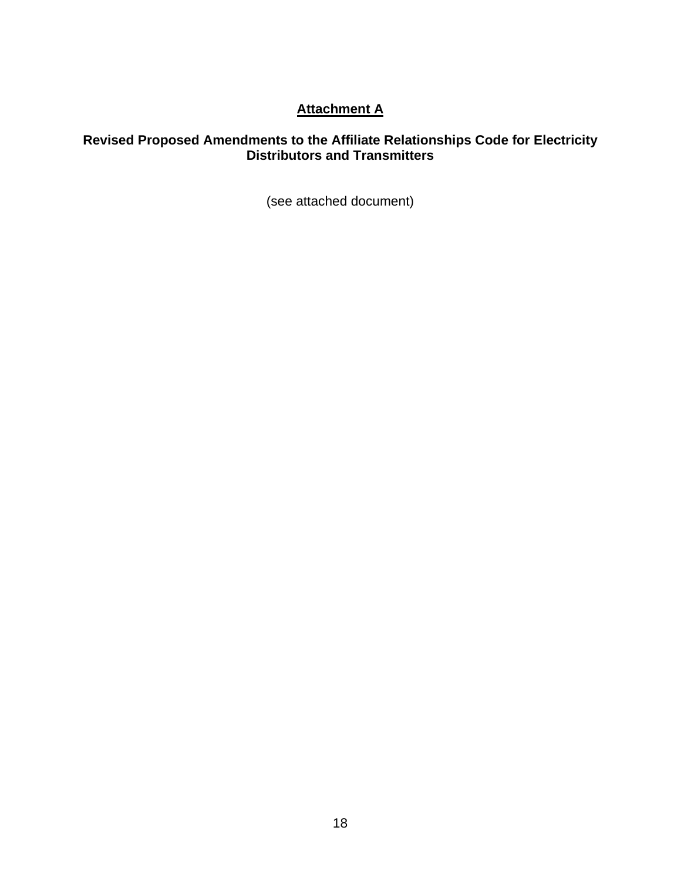# **Attachment A**

### **Revised Proposed Amendments to the Affiliate Relationships Code for Electricity Distributors and Transmitters**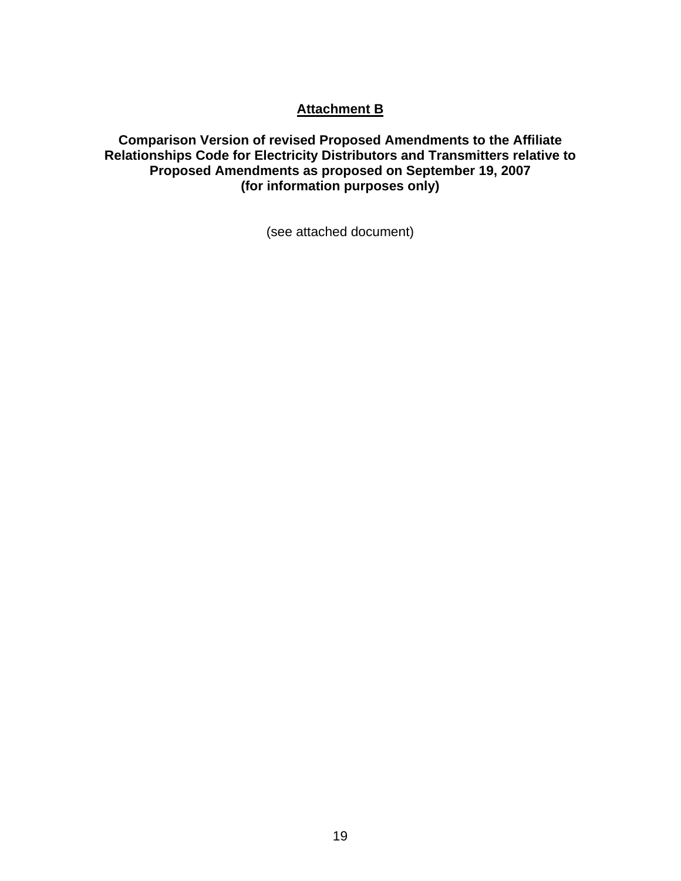## **Attachment B**

**Comparison Version of revised Proposed Amendments to the Affiliate Relationships Code for Electricity Distributors and Transmitters relative to Proposed Amendments as proposed on September 19, 2007 (for information purposes only)**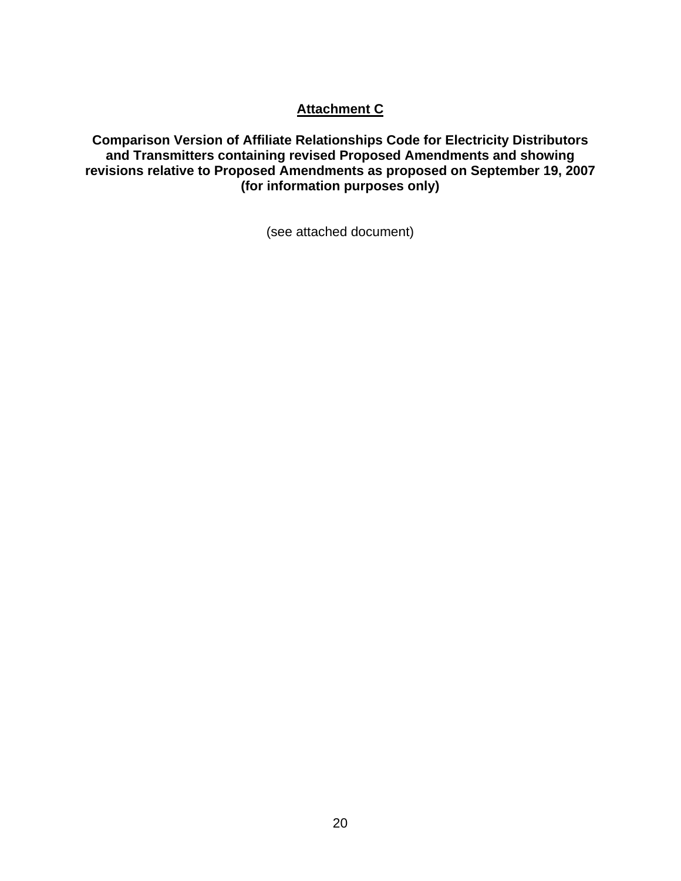# **Attachment C**

**Comparison Version of Affiliate Relationships Code for Electricity Distributors and Transmitters containing revised Proposed Amendments and showing revisions relative to Proposed Amendments as proposed on September 19, 2007 (for information purposes only)**